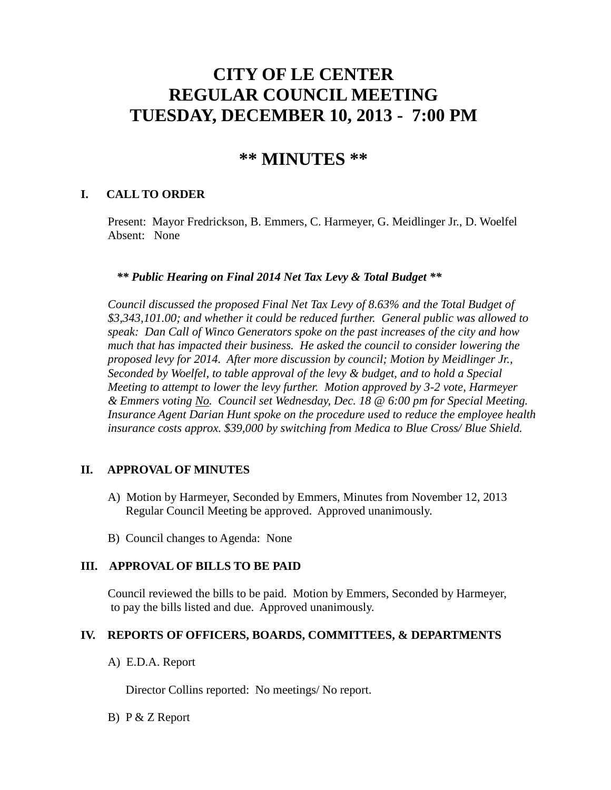# **CITY OF LE CENTER REGULAR COUNCIL MEETING TUESDAY, DECEMBER 10, 2013 - 7:00 PM**

# **\*\* MINUTES \*\***

# **I. CALL TO ORDER**

Present: Mayor Fredrickson, B. Emmers, C. Harmeyer, G. Meidlinger Jr., D. Woelfel Absent: None

#### *\*\* Public Hearing on Final 2014 Net Tax Levy & Total Budget \*\**

 *Council discussed the proposed Final Net Tax Levy of 8.63% and the Total Budget of \$3,343,101.00; and whether it could be reduced further. General public was allowed to speak: Dan Call of Winco Generators spoke on the past increases of the city and how much that has impacted their business. He asked the council to consider lowering the proposed levy for 2014. After more discussion by council; Motion by Meidlinger Jr., Seconded by Woelfel, to table approval of the levy & budget, and to hold a Special Meeting to attempt to lower the levy further. Motion approved by 3-2 vote, Harmeyer & Emmers voting No. Council set Wednesday, Dec. 18 @ 6:00 pm for Special Meeting. Insurance Agent Darian Hunt spoke on the procedure used to reduce the employee health insurance costs approx. \$39,000 by switching from Medica to Blue Cross/ Blue Shield.*

## **II. APPROVAL OF MINUTES**

- A) Motion by Harmeyer, Seconded by Emmers, Minutes from November 12, 2013 Regular Council Meeting be approved. Approved unanimously.
- B) Council changes to Agenda: None

## **III. APPROVAL OF BILLS TO BE PAID**

Council reviewed the bills to be paid. Motion by Emmers, Seconded by Harmeyer, to pay the bills listed and due. Approved unanimously.

## **IV. REPORTS OF OFFICERS, BOARDS, COMMITTEES, & DEPARTMENTS**

A) E.D.A. Report

Director Collins reported: No meetings/ No report.

B) P & Z Report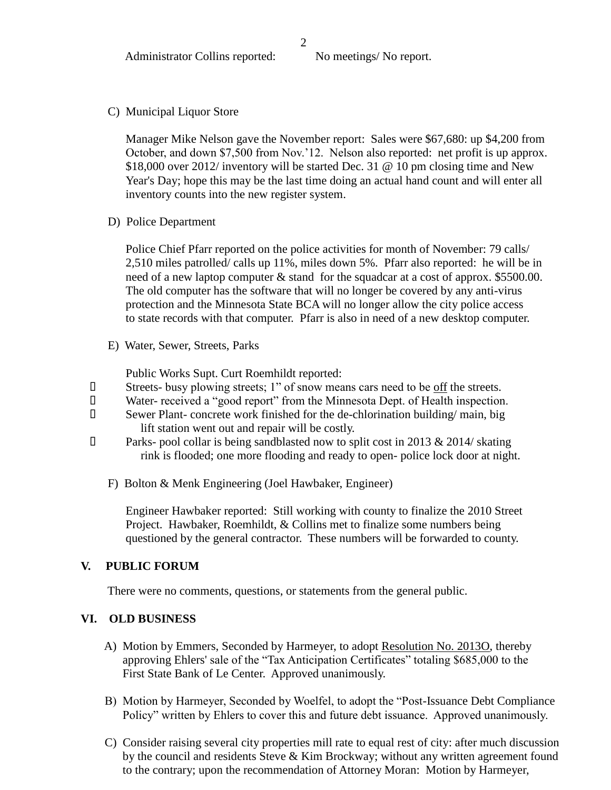C) Municipal Liquor Store

Manager Mike Nelson gave the November report: Sales were \$67,680: up \$4,200 from October, and down \$7,500 from Nov.'12. Nelson also reported: net profit is up approx. \$18,000 over 2012/ inventory will be started Dec. 31 @ 10 pm closing time and New Year's Day; hope this may be the last time doing an actual hand count and will enter all inventory counts into the new register system.

D) Police Department

Police Chief Pfarr reported on the police activities for month of November: 79 calls/ 2,510 miles patrolled/ calls up 11%, miles down 5%. Pfarr also reported: he will be in need of a new laptop computer & stand for the squadcar at a cost of approx. \$5500.00. The old computer has the software that will no longer be covered by any anti-virus protection and the Minnesota State BCA will no longer allow the city police access to state records with that computer. Pfarr is also in need of a new desktop computer.

E) Water, Sewer, Streets, Parks

Public Works Supt. Curt Roemhildt reported:

- Streets- busy plowing streets; 1" of snow means cars need to be off the streets.
- Water- received a "good report" from the Minnesota Dept. of Health inspection.
- Sewer Plant- concrete work finished for the de-chlorination building/ main, big lift station went out and repair will be costly.
- $\Box$  Parks- pool collar is being sandblasted now to split cost in 2013 & 2014/ skating rink is flooded; one more flooding and ready to open- police lock door at night.
	- F) Bolton & Menk Engineering (Joel Hawbaker, Engineer)

 Engineer Hawbaker reported: Still working with county to finalize the 2010 Street Project. Hawbaker, Roemhildt, & Collins met to finalize some numbers being questioned by the general contractor. These numbers will be forwarded to county.

## **V. PUBLIC FORUM**

There were no comments, questions, or statements from the general public.

#### **VI. OLD BUSINESS**

- A) Motion by Emmers, Seconded by Harmeyer, to adopt Resolution No. 2013O, thereby approving Ehlers' sale of the "Tax Anticipation Certificates" totaling \$685,000 to the First State Bank of Le Center. Approved unanimously.
- B) Motion by Harmeyer, Seconded by Woelfel, to adopt the "Post-Issuance Debt Compliance Policy" written by Ehlers to cover this and future debt issuance. Approved unanimously.
- C) Consider raising several city properties mill rate to equal rest of city: after much discussion by the council and residents Steve & Kim Brockway; without any written agreement found to the contrary; upon the recommendation of Attorney Moran: Motion by Harmeyer,